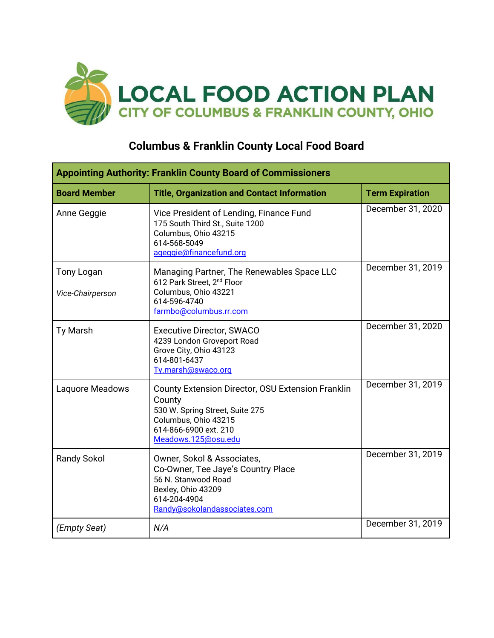

## **Columbus & Franklin County Local Food Board**

| <b>Appointing Authority: Franklin County Board of Commissioners</b> |                                                                                                                                                                               |                        |  |
|---------------------------------------------------------------------|-------------------------------------------------------------------------------------------------------------------------------------------------------------------------------|------------------------|--|
| <b>Board Member</b>                                                 | <b>Title, Organization and Contact Information</b>                                                                                                                            | <b>Term Expiration</b> |  |
| Anne Geggie                                                         | Vice President of Lending, Finance Fund<br>175 South Third St., Suite 1200<br>Columbus, Ohio 43215<br>614-568-5049<br>ageggie@financefund.org                                 | December 31, 2020      |  |
| <b>Tony Logan</b><br>Vice-Chairperson                               | Managing Partner, The Renewables Space LLC<br>612 Park Street, 2 <sup>nd</sup> Floor<br>Columbus, Ohio 43221<br>614-596-4740<br>farmbo@columbus.rr.com                        | December 31, 2019      |  |
| <b>Ty Marsh</b>                                                     | <b>Executive Director, SWACO</b><br>4239 London Groveport Road<br>Grove City, Ohio 43123<br>614-801-6437<br>Ty.marsh@swaco.org                                                | December 31, 2020      |  |
| Laquore Meadows                                                     | <b>County Extension Director, OSU Extension Franklin</b><br>County<br>530 W. Spring Street, Suite 275<br>Columbus, Ohio 43215<br>614-866-6900 ext. 210<br>Meadows.125@osu.edu | December 31, 2019      |  |
| <b>Randy Sokol</b>                                                  | Owner, Sokol & Associates,<br>Co-Owner, Tee Jaye's Country Place<br>56 N. Stanwood Road<br>Bexley, Ohio 43209<br>614-204-4904<br>Randy@sokolandassociates.com                 | December 31, 2019      |  |
| (Empty Seat)                                                        | N/A                                                                                                                                                                           | December 31, 2019      |  |